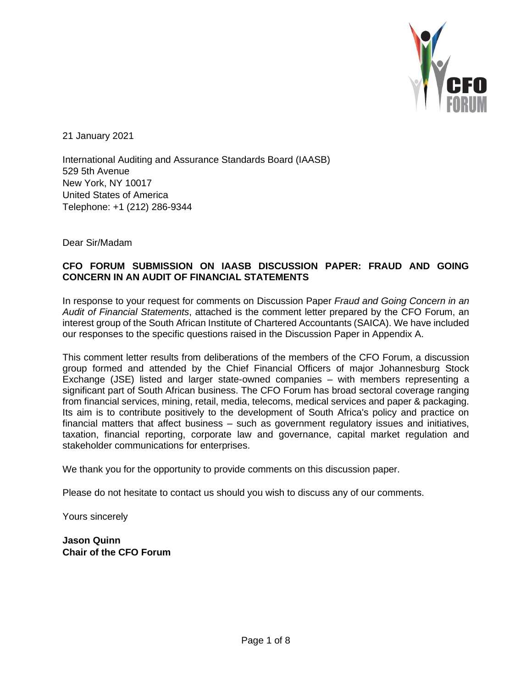

21 January 2021

International Auditing and Assurance Standards Board (IAASB) 529 5th Avenue New York, NY 10017 United States of America Telephone: +1 (212) 286-9344

Dear Sir/Madam

# **CFO FORUM SUBMISSION ON IAASB DISCUSSION PAPER: FRAUD AND GOING CONCERN IN AN AUDIT OF FINANCIAL STATEMENTS**

In response to your request for comments on Discussion Paper *Fraud and Going Concern in an Audit of Financial Statements*, attached is the comment letter prepared by the CFO Forum, an interest group of the South African Institute of Chartered Accountants (SAICA). We have included our responses to the specific questions raised in the Discussion Paper in Appendix A.

This comment letter results from deliberations of the members of the CFO Forum, a discussion group formed and attended by the Chief Financial Officers of major Johannesburg Stock Exchange (JSE) listed and larger state-owned companies – with members representing a significant part of South African business. The CFO Forum has broad sectoral coverage ranging from financial services, mining, retail, media, telecoms, medical services and paper & packaging. Its aim is to contribute positively to the development of South Africa's policy and practice on financial matters that affect business – such as government regulatory issues and initiatives, taxation, financial reporting, corporate law and governance, capital market regulation and stakeholder communications for enterprises.

We thank you for the opportunity to provide comments on this discussion paper.

Please do not hesitate to contact us should you wish to discuss any of our comments.

Yours sincerely

**Jason Quinn Chair of the CFO Forum**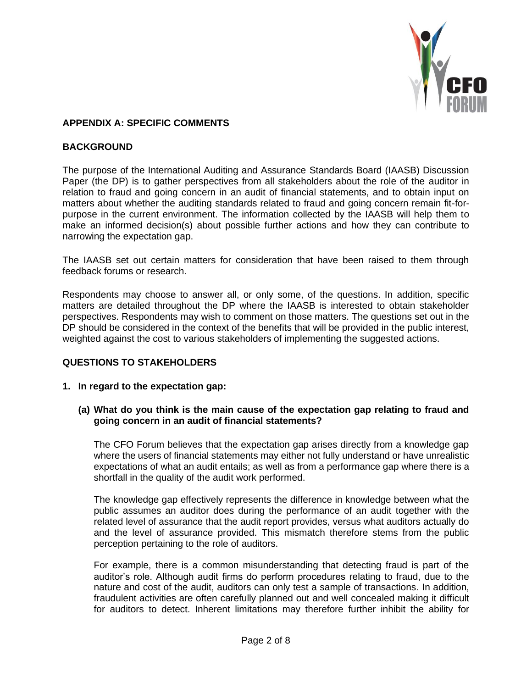

### **APPENDIX A: SPECIFIC COMMENTS**

#### **BACKGROUND**

The purpose of the International Auditing and Assurance Standards Board (IAASB) Discussion Paper (the DP) is to gather perspectives from all stakeholders about the role of the auditor in relation to fraud and going concern in an audit of financial statements, and to obtain input on matters about whether the auditing standards related to fraud and going concern remain fit-forpurpose in the current environment. The information collected by the IAASB will help them to make an informed decision(s) about possible further actions and how they can contribute to narrowing the expectation gap.

The IAASB set out certain matters for consideration that have been raised to them through feedback forums or research.

Respondents may choose to answer all, or only some, of the questions. In addition, specific matters are detailed throughout the DP where the IAASB is interested to obtain stakeholder perspectives. Respondents may wish to comment on those matters. The questions set out in the DP should be considered in the context of the benefits that will be provided in the public interest, weighted against the cost to various stakeholders of implementing the suggested actions.

# **QUESTIONS TO STAKEHOLDERS**

- **1. In regard to the expectation gap:**
	- **(a) What do you think is the main cause of the expectation gap relating to fraud and going concern in an audit of financial statements?**

The CFO Forum believes that the expectation gap arises directly from a knowledge gap where the users of financial statements may either not fully understand or have unrealistic expectations of what an audit entails; as well as from a performance gap where there is a shortfall in the quality of the audit work performed.

The knowledge gap effectively represents the difference in knowledge between what the public assumes an auditor does during the performance of an audit together with the related level of assurance that the audit report provides, versus what auditors actually do and the level of assurance provided. This mismatch therefore stems from the public perception pertaining to the role of auditors.

For example, there is a common misunderstanding that detecting fraud is part of the auditor's role. Although audit firms do perform procedures relating to fraud, due to the nature and cost of the audit, auditors can only test a sample of transactions. In addition, fraudulent activities are often carefully planned out and well concealed making it difficult for auditors to detect. Inherent limitations may therefore further inhibit the ability for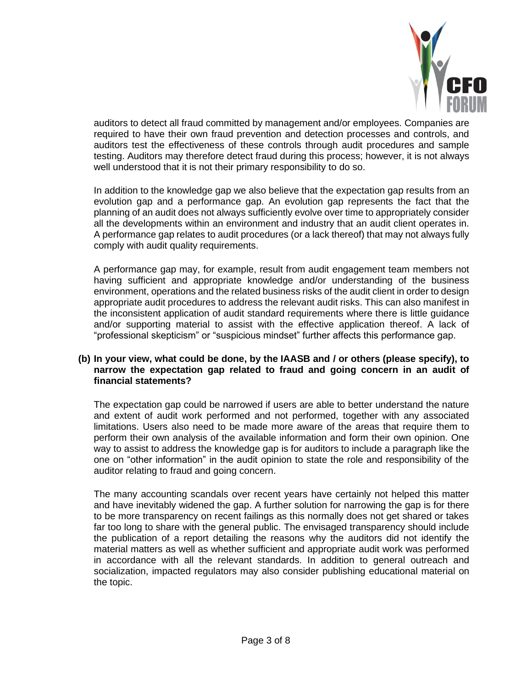

auditors to detect all fraud committed by management and/or employees. Companies are required to have their own fraud prevention and detection processes and controls, and auditors test the effectiveness of these controls through audit procedures and sample testing. Auditors may therefore detect fraud during this process; however, it is not always well understood that it is not their primary responsibility to do so.

In addition to the knowledge gap we also believe that the expectation gap results from an evolution gap and a performance gap. An evolution gap represents the fact that the planning of an audit does not always sufficiently evolve over time to appropriately consider all the developments within an environment and industry that an audit client operates in. A performance gap relates to audit procedures (or a lack thereof) that may not always fully comply with audit quality requirements.

A performance gap may, for example, result from audit engagement team members not having sufficient and appropriate knowledge and/or understanding of the business environment, operations and the related business risks of the audit client in order to design appropriate audit procedures to address the relevant audit risks. This can also manifest in the inconsistent application of audit standard requirements where there is little guidance and/or supporting material to assist with the effective application thereof. A lack of "professional skepticism" or "suspicious mindset" further affects this performance gap.

### **(b) In your view, what could be done, by the IAASB and / or others (please specify), to narrow the expectation gap related to fraud and going concern in an audit of financial statements?**

The expectation gap could be narrowed if users are able to better understand the nature and extent of audit work performed and not performed, together with any associated limitations. Users also need to be made more aware of the areas that require them to perform their own analysis of the available information and form their own opinion. One way to assist to address the knowledge gap is for auditors to include a paragraph like the one on "other information" in the audit opinion to state the role and responsibility of the auditor relating to fraud and going concern.

The many accounting scandals over recent years have certainly not helped this matter and have inevitably widened the gap. A further solution for narrowing the gap is for there to be more transparency on recent failings as this normally does not get shared or takes far too long to share with the general public. The envisaged transparency should include the publication of a report detailing the reasons why the auditors did not identify the material matters as well as whether sufficient and appropriate audit work was performed in accordance with all the relevant standards. In addition to general outreach and socialization, impacted regulators may also consider publishing educational material on the topic.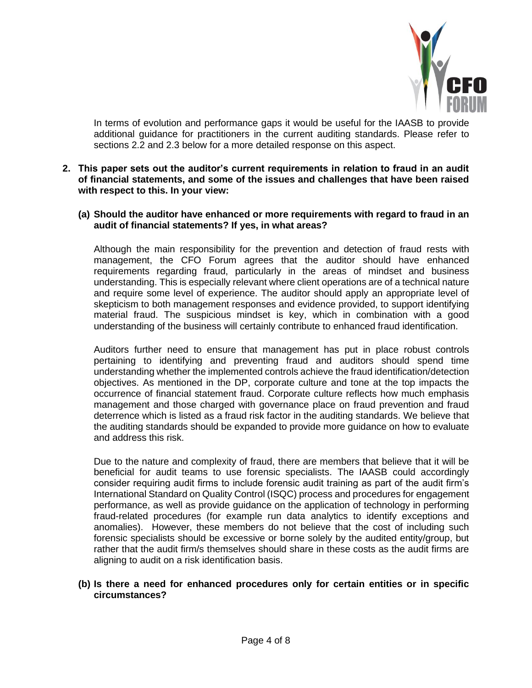

In terms of evolution and performance gaps it would be useful for the IAASB to provide additional guidance for practitioners in the current auditing standards. Please refer to sections 2.2 and 2.3 below for a more detailed response on this aspect.

- **2. This paper sets out the auditor's current requirements in relation to fraud in an audit of financial statements, and some of the issues and challenges that have been raised with respect to this. In your view:**
	- **(a) Should the auditor have enhanced or more requirements with regard to fraud in an audit of financial statements? If yes, in what areas?**

Although the main responsibility for the prevention and detection of fraud rests with management, the CFO Forum agrees that the auditor should have enhanced requirements regarding fraud, particularly in the areas of mindset and business understanding. This is especially relevant where client operations are of a technical nature and require some level of experience. The auditor should apply an appropriate level of skepticism to both management responses and evidence provided, to support identifying material fraud. The suspicious mindset is key, which in combination with a good understanding of the business will certainly contribute to enhanced fraud identification.

Auditors further need to ensure that management has put in place robust controls pertaining to identifying and preventing fraud and auditors should spend time understanding whether the implemented controls achieve the fraud identification/detection objectives. As mentioned in the DP, corporate culture and tone at the top impacts the occurrence of financial statement fraud. Corporate culture reflects how much emphasis management and those charged with governance place on fraud prevention and fraud deterrence which is listed as a fraud risk factor in the auditing standards. We believe that the auditing standards should be expanded to provide more guidance on how to evaluate and address this risk.

Due to the nature and complexity of fraud, there are members that believe that it will be beneficial for audit teams to use forensic specialists. The IAASB could accordingly consider requiring audit firms to include forensic audit training as part of the audit firm's International Standard on Quality Control (ISQC) process and procedures for engagement performance, as well as provide guidance on the application of technology in performing fraud-related procedures (for example run data analytics to identify exceptions and anomalies). However, these members do not believe that the cost of including such forensic specialists should be excessive or borne solely by the audited entity/group, but rather that the audit firm/s themselves should share in these costs as the audit firms are aligning to audit on a risk identification basis.

### **(b) Is there a need for enhanced procedures only for certain entities or in specific circumstances?**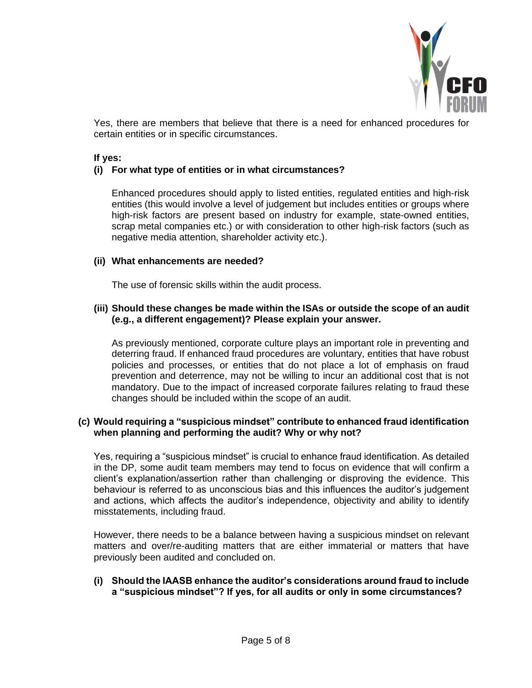

Yes, there are members that believe that there is a need for enhanced procedures for certain entities or in specific circumstances.

### **If yes:**

### **(i) For what type of entities or in what circumstances?**

Enhanced procedures should apply to listed entities, regulated entities and high-risk entities (this would involve a level of judgement but includes entities or groups where high-risk factors are present based on industry for example, state-owned entities, scrap metal companies etc.) or with consideration to other high-risk factors (such as negative media attention, shareholder activity etc.).

#### **(ii) What enhancements are needed?**

The use of forensic skills within the audit process.

### **(iii) Should these changes be made within the ISAs or outside the scope of an audit (e.g., a different engagement)? Please explain your answer.**

As previously mentioned, corporate culture plays an important role in preventing and deterring fraud. If enhanced fraud procedures are voluntary, entities that have robust policies and processes, or entities that do not place a lot of emphasis on fraud prevention and deterrence, may not be willing to incur an additional cost that is not mandatory. Due to the impact of increased corporate failures relating to fraud these changes should be included within the scope of an audit.

### **(c) Would requiring a "suspicious mindset" contribute to enhanced fraud identification when planning and performing the audit? Why or why not?**

Yes, requiring a "suspicious mindset" is crucial to enhance fraud identification. As detailed in the DP, some audit team members may tend to focus on evidence that will confirm a client's explanation/assertion rather than challenging or disproving the evidence. This behaviour is referred to as unconscious bias and this influences the auditor's judgement and actions, which affects the auditor's independence, objectivity and ability to identify misstatements, including fraud.

However, there needs to be a balance between having a suspicious mindset on relevant matters and over/re-auditing matters that are either immaterial or matters that have previously been audited and concluded on.

# **(i) Should the IAASB enhance the auditor's considerations around fraud to include a "suspicious mindset"? If yes, for all audits or only in some circumstances?**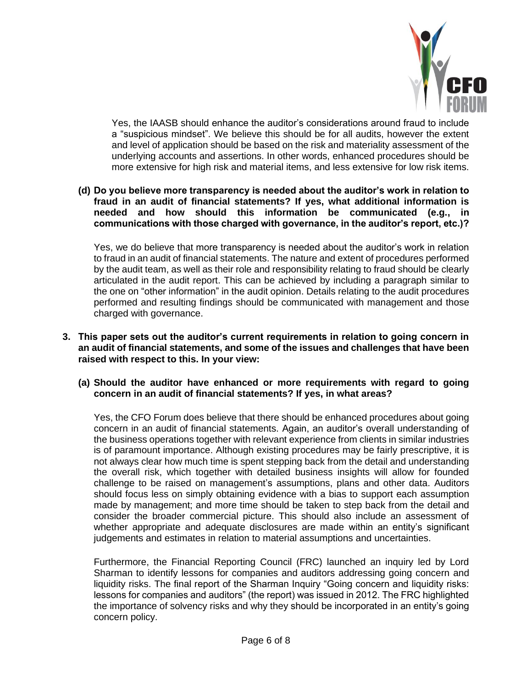

Yes, the IAASB should enhance the auditor's considerations around fraud to include a "suspicious mindset". We believe this should be for all audits, however the extent and level of application should be based on the risk and materiality assessment of the underlying accounts and assertions. In other words, enhanced procedures should be more extensive for high risk and material items, and less extensive for low risk items.

#### **(d) Do you believe more transparency is needed about the auditor's work in relation to fraud in an audit of financial statements? If yes, what additional information is needed and how should this information be communicated (e.g., in communications with those charged with governance, in the auditor's report, etc.)?**

Yes, we do believe that more transparency is needed about the auditor's work in relation to fraud in an audit of financial statements. The nature and extent of procedures performed by the audit team, as well as their role and responsibility relating to fraud should be clearly articulated in the audit report. This can be achieved by including a paragraph similar to the one on "other information" in the audit opinion. Details relating to the audit procedures performed and resulting findings should be communicated with management and those charged with governance.

### **3. This paper sets out the auditor's current requirements in relation to going concern in an audit of financial statements, and some of the issues and challenges that have been raised with respect to this. In your view:**

# **(a) Should the auditor have enhanced or more requirements with regard to going concern in an audit of financial statements? If yes, in what areas?**

Yes, the CFO Forum does believe that there should be enhanced procedures about going concern in an audit of financial statements. Again, an auditor's overall understanding of the business operations together with relevant experience from clients in similar industries is of paramount importance. Although existing procedures may be fairly prescriptive, it is not always clear how much time is spent stepping back from the detail and understanding the overall risk, which together with detailed business insights will allow for founded challenge to be raised on management's assumptions, plans and other data. Auditors should focus less on simply obtaining evidence with a bias to support each assumption made by management; and more time should be taken to step back from the detail and consider the broader commercial picture. This should also include an assessment of whether appropriate and adequate disclosures are made within an entity's significant judgements and estimates in relation to material assumptions and uncertainties.

Furthermore, the Financial Reporting Council (FRC) launched an inquiry led by Lord Sharman to identify lessons for companies and auditors addressing going concern and liquidity risks. The final report of the Sharman Inquiry "Going concern and liquidity risks: lessons for companies and auditors" (the report) was issued in 2012. The FRC highlighted the importance of solvency risks and why they should be incorporated in an entity's going concern policy.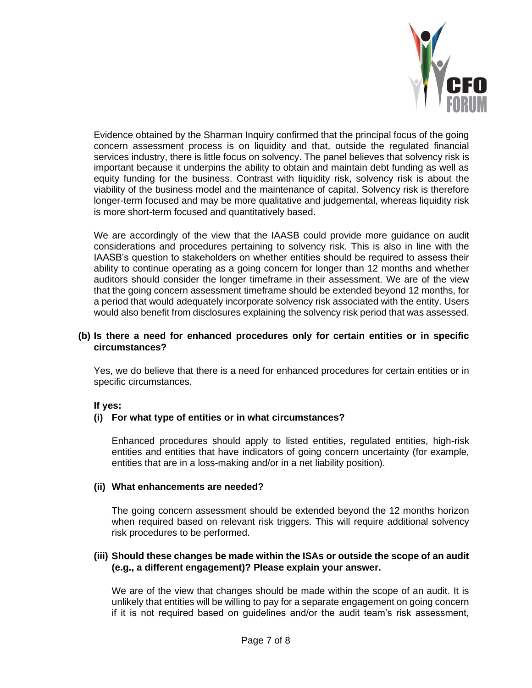

Evidence obtained by the Sharman Inquiry confirmed that the principal focus of the going concern assessment process is on liquidity and that, outside the regulated financial services industry, there is little focus on solvency. The panel believes that solvency risk is important because it underpins the ability to obtain and maintain debt funding as well as equity funding for the business. Contrast with liquidity risk, solvency risk is about the viability of the business model and the maintenance of capital. Solvency risk is therefore longer-term focused and may be more qualitative and judgemental, whereas liquidity risk is more short-term focused and quantitatively based.

We are accordingly of the view that the IAASB could provide more guidance on audit considerations and procedures pertaining to solvency risk. This is also in line with the IAASB's question to stakeholders on whether entities should be required to assess their ability to continue operating as a going concern for longer than 12 months and whether auditors should consider the longer timeframe in their assessment. We are of the view that the going concern assessment timeframe should be extended beyond 12 months, for a period that would adequately incorporate solvency risk associated with the entity. Users would also benefit from disclosures explaining the solvency risk period that was assessed.

### **(b) Is there a need for enhanced procedures only for certain entities or in specific circumstances?**

Yes, we do believe that there is a need for enhanced procedures for certain entities or in specific circumstances.

#### **If yes:**

# **(i) For what type of entities or in what circumstances?**

Enhanced procedures should apply to listed entities, regulated entities, high-risk entities and entities that have indicators of going concern uncertainty (for example, entities that are in a loss-making and/or in a net liability position).

# **(ii) What enhancements are needed?**

The going concern assessment should be extended beyond the 12 months horizon when required based on relevant risk triggers. This will require additional solvency risk procedures to be performed.

### **(iii) Should these changes be made within the ISAs or outside the scope of an audit (e.g., a different engagement)? Please explain your answer.**

We are of the view that changes should be made within the scope of an audit. It is unlikely that entities will be willing to pay for a separate engagement on going concern if it is not required based on guidelines and/or the audit team's risk assessment,